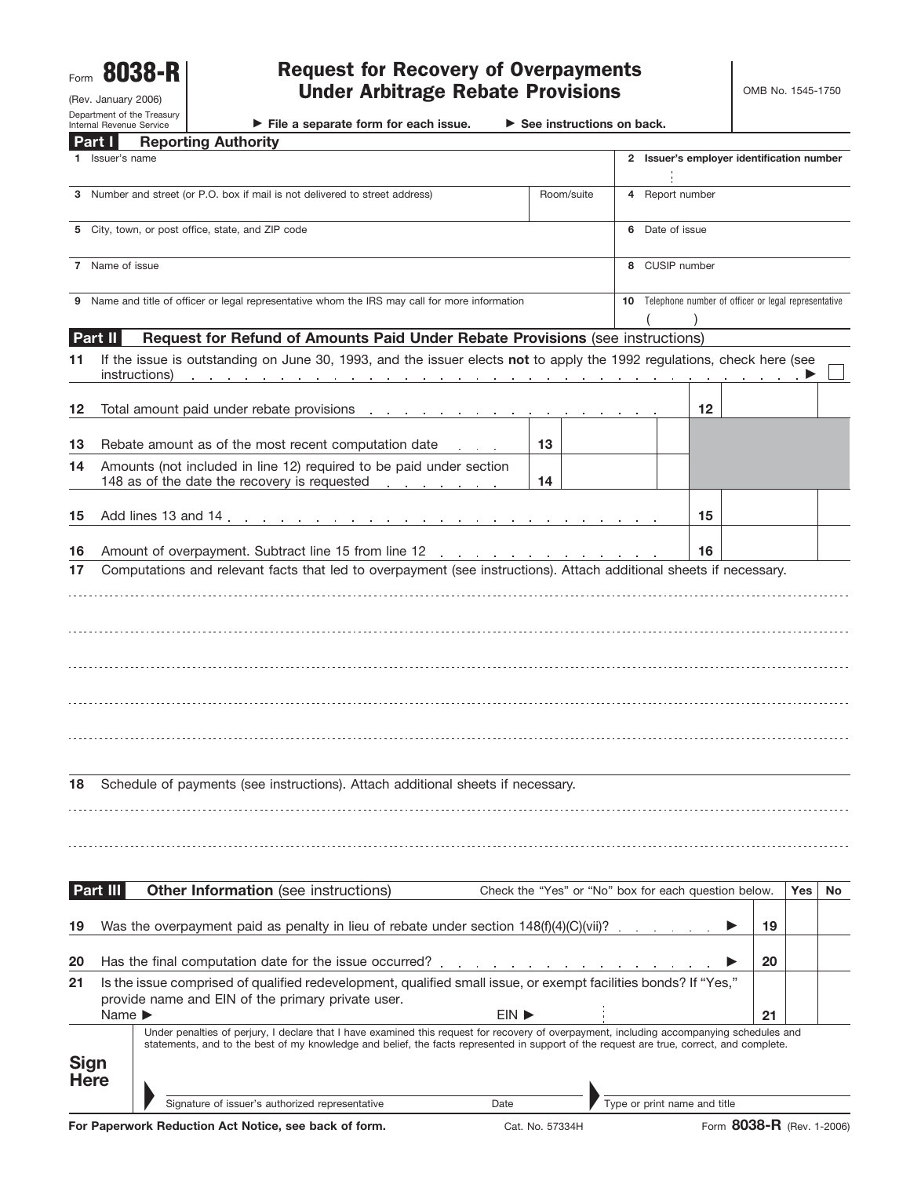Form **8038-R** (Rev. January 2006)

# Request for Recovery of Overpayments Under Arbitrage Rebate Provisions

| Department of the Treasury  <br>Internal Revenue Service | $\blacktriangleright$ File a separate form for each issue. |  |
|----------------------------------------------------------|------------------------------------------------------------|--|
|                                                          |                                                            |  |

**See instructions on back.**

|                                                                                                                                                          | Part T                                                                  | <b>Reporting Authority</b>                                                                                                                                                                                                                                                            |       |            |   |                    |                                                      |    |            |     |
|----------------------------------------------------------------------------------------------------------------------------------------------------------|-------------------------------------------------------------------------|---------------------------------------------------------------------------------------------------------------------------------------------------------------------------------------------------------------------------------------------------------------------------------------|-------|------------|---|--------------------|------------------------------------------------------|----|------------|-----|
|                                                                                                                                                          | 1 Issuer's name                                                         |                                                                                                                                                                                                                                                                                       |       |            |   |                    | 2 Issuer's employer identification number            |    |            |     |
|                                                                                                                                                          |                                                                         | 3 Number and street (or P.O. box if mail is not delivered to street address)                                                                                                                                                                                                          |       | Room/suite |   | Report number<br>4 |                                                      |    |            |     |
|                                                                                                                                                          | 5 City, town, or post office, state, and ZIP code<br>Date of issue<br>6 |                                                                                                                                                                                                                                                                                       |       |            |   |                    |                                                      |    |            |     |
|                                                                                                                                                          | 7 Name of issue                                                         |                                                                                                                                                                                                                                                                                       |       |            | 8 | CUSIP number       |                                                      |    |            |     |
| 10 Telephone number of officer or legal representative<br>9 Name and title of officer or legal representative whom the IRS may call for more information |                                                                         |                                                                                                                                                                                                                                                                                       |       |            |   |                    |                                                      |    |            |     |
|                                                                                                                                                          | Part II                                                                 | Request for Refund of Amounts Paid Under Rebate Provisions (see instructions)                                                                                                                                                                                                         |       |            |   |                    |                                                      |    |            |     |
| 11                                                                                                                                                       |                                                                         | If the issue is outstanding on June 30, 1993, and the issuer elects not to apply the 1992 regulations, check here (see<br>instructions)<br>the contract of the contract of the contract of the contract of                                                                            |       |            |   |                    |                                                      |    |            |     |
| 12                                                                                                                                                       |                                                                         | Total amount paid under rebate provisions enterstanding to the set of the set of the set of the set of the set of the set of the set of the set of the set of the set of the set of the set of the set of the set of the set o                                                        |       |            |   |                    | $12 \,$                                              |    |            |     |
| 13                                                                                                                                                       |                                                                         | Rebate amount as of the most recent computation date                                                                                                                                                                                                                                  | 13    |            |   |                    |                                                      |    |            |     |
| 14                                                                                                                                                       |                                                                         | Amounts (not included in line 12) required to be paid under section<br>148 as of the date the recovery is requested<br>the company of the company of                                                                                                                                  | 14    |            |   |                    |                                                      |    |            |     |
| 15                                                                                                                                                       |                                                                         |                                                                                                                                                                                                                                                                                       |       |            |   |                    | 15                                                   |    |            |     |
| 16<br>17                                                                                                                                                 |                                                                         | Amount of overpayment. Subtract line 15 from line 12<br>Computations and relevant facts that led to overpayment (see instructions). Attach additional sheets if necessary.                                                                                                            |       |            |   |                    | 16                                                   |    |            |     |
|                                                                                                                                                          |                                                                         |                                                                                                                                                                                                                                                                                       |       |            |   |                    |                                                      |    |            |     |
| 18                                                                                                                                                       |                                                                         | Schedule of payments (see instructions). Attach additional sheets if necessary.                                                                                                                                                                                                       |       |            |   |                    |                                                      |    |            |     |
|                                                                                                                                                          |                                                                         |                                                                                                                                                                                                                                                                                       |       |            |   |                    |                                                      |    |            |     |
|                                                                                                                                                          | Part III                                                                | <b>Other Information</b> (see instructions)                                                                                                                                                                                                                                           |       |            |   |                    | Check the "Yes" or "No" box for each question below. |    | <b>Yes</b> | No. |
| 19                                                                                                                                                       |                                                                         | Was the overpayment paid as penalty in lieu of rebate under section $148(f)(4)(C)(vi)$ ?                                                                                                                                                                                              |       |            |   |                    |                                                      | 19 |            |     |
| 20                                                                                                                                                       |                                                                         | Has the final computation date for the issue occurred?                                                                                                                                                                                                                                |       |            |   |                    |                                                      | 20 |            |     |
| 21                                                                                                                                                       |                                                                         | Is the issue comprised of qualified redevelopment, qualified small issue, or exempt facilities bonds? If "Yes,"<br>provide name and EIN of the primary private user.                                                                                                                  |       |            |   |                    |                                                      |    |            |     |
|                                                                                                                                                          | Name $\blacktriangleright$                                              |                                                                                                                                                                                                                                                                                       | EIN D |            |   |                    |                                                      | 21 |            |     |
| <b>Sign</b>                                                                                                                                              | <b>Here</b>                                                             | Under penalties of perjury, I declare that I have examined this request for recovery of overpayment, including accompanying schedules and<br>statements, and to the best of my knowledge and belief, the facts represented in support of the request are true, correct, and complete. |       |            |   |                    |                                                      |    |            |     |
|                                                                                                                                                          |                                                                         | Signature of issuer's authorized representative<br>Date                                                                                                                                                                                                                               |       |            |   |                    | Type or print name and title                         |    |            |     |